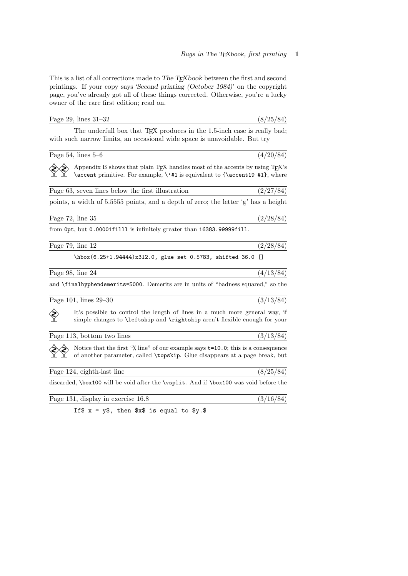This is a list of all corrections made to The TEXbook between the first and second printings. If your copy says 'Second printing (October 1984)' on the copyright page, you've already got all of these things corrected. Otherwise, you're a lucky owner of the rare first edition; read on.

| Page 29, lines $31-32$                                                                                                                                                      | (8/25/84) |
|-----------------------------------------------------------------------------------------------------------------------------------------------------------------------------|-----------|
| The underfull box that TFX produces in the 1.5-inch case is really bad;<br>with such narrow limits, an occasional wide space is unavoidable. But try                        |           |
| Page $54$ , lines $5-6$                                                                                                                                                     | (4/20/84) |
| Appendix B shows that plain TEX handles most of the accents by using TEX's<br>\accent primitive. For example, \'#1 is equivalent to {\accent19 #1}, where                   |           |
| Page 63, seven lines below the first illustration                                                                                                                           | (2/27/84) |
| points, a width of 5.5555 points, and a depth of zero; the letter 'g' has a height                                                                                          |           |
| Page $72$ , line $35$                                                                                                                                                       | (2/28/84) |
| from 0pt, but 0.00001fill1 is infinitely greater than 16383.99999fill.                                                                                                      |           |
| Page $79$ , line $12$                                                                                                                                                       | (2/28/84) |
| \hbox(6.25+1.94444)x312.0, glue set 0.5783, shifted 36.0 []                                                                                                                 |           |
| Page 98, line 24                                                                                                                                                            | (4/13/84) |
| and \finalhyphendemerits=5000. Demerits are in units of "badness squared," so the                                                                                           |           |
| Page 101, lines 29–30                                                                                                                                                       | (3/13/84) |
| It's possible to control the length of lines in a much more general way, if<br>simple changes to <b>\leftskip</b> and <b>\rightskip</b> aren't flexible enough for your     |           |
| Page 113, bottom two lines                                                                                                                                                  | (3/13/84) |
| Notice that the first " $\lambda$ line" of our example says $t=10.0$ ; this is a consequence<br>of another parameter, called \topskip. Glue disappears at a page break, but |           |
| Page 124, eighth-last line                                                                                                                                                  | (8/25/84) |
| discarded, \box100 will be void after the \vsplit. And if \box100 was void before the                                                                                       |           |
| Page 131, display in exercise 16.8                                                                                                                                          | (3/16/84) |

If  $x = y\$ , then  $x\$  is equal to  $y.\$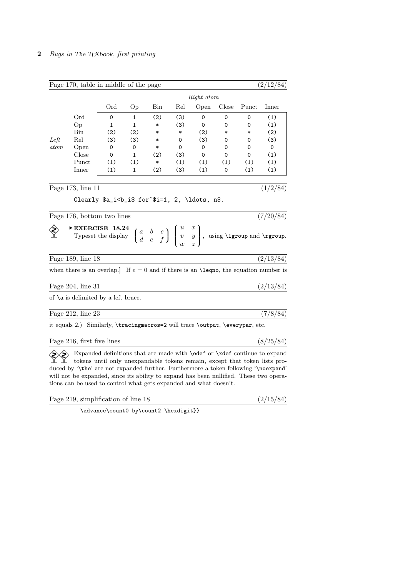|      | Page 170, table in middle of the page                                                                                                                                     |                                                                                                                                                                       |              |        |     |            |        |       | (2/12/84) |
|------|---------------------------------------------------------------------------------------------------------------------------------------------------------------------------|-----------------------------------------------------------------------------------------------------------------------------------------------------------------------|--------------|--------|-----|------------|--------|-------|-----------|
|      |                                                                                                                                                                           |                                                                                                                                                                       |              |        |     | Right atom |        |       |           |
|      |                                                                                                                                                                           | Ord                                                                                                                                                                   | Op           | Bin    | Rel | Open       | Close  | Punct | Inner     |
|      | Ord                                                                                                                                                                       | 0                                                                                                                                                                     | 1            | (2)    | (3) | 0          | 0      | 0     | (1)       |
|      | Op                                                                                                                                                                        | $\mathbf{1}$                                                                                                                                                          | $\mathbf{1}$ | *      | (3) | 0          | 0      | 0     | (1)       |
|      | Bin                                                                                                                                                                       | (2)                                                                                                                                                                   | (2)          | *      | *   | (2)        | $\ast$ | *     | (2)       |
| Left | Rel                                                                                                                                                                       | (3)                                                                                                                                                                   | (3)          | *      | 0   | (3)        | 0      | 0     | (3)       |
| atom | Open                                                                                                                                                                      | 0                                                                                                                                                                     | 0            | $\ast$ | 0   | 0          | 0      | 0     | 0         |
|      | Close                                                                                                                                                                     | 0                                                                                                                                                                     | $\mathbf{1}$ | (2)    | (3) | 0          | 0      | 0     | (1)       |
|      | Punct                                                                                                                                                                     | (1)                                                                                                                                                                   | (1)          | $\ast$ | (1) | (1)        | (1)    | (1)   | (1)       |
|      | Inner                                                                                                                                                                     | (1)                                                                                                                                                                   | 1            | (2)    | (3) | (1)        | 0      | (1)   | (1)       |
|      | Page 173, line 11                                                                                                                                                         |                                                                                                                                                                       |              |        |     |            |        |       | (1/2/84)  |
|      |                                                                                                                                                                           | Clearly \$a_i <b_i\$ 2,="" \ldots,="" for~\$i="1," n\$.<="" td=""><td></td><td></td><td></td><td></td><td></td><td></td><td></td></b_i\$>                             |              |        |     |            |        |       |           |
|      |                                                                                                                                                                           |                                                                                                                                                                       |              |        |     |            |        |       |           |
|      | Page 176, bottom two lines                                                                                                                                                |                                                                                                                                                                       |              |        |     |            |        |       | (7/20/84) |
|      | EXERCISE 18.24 $\begin{pmatrix} a & b & c \\ d & e & f \end{pmatrix} \begin{pmatrix} u & x \\ v & y \\ w & z \end{pmatrix}$ , using <b>\latitude</b> and <b>\rgroup</b> . |                                                                                                                                                                       |              |        |     |            |        |       |           |
|      | Page 189, line 18                                                                                                                                                         |                                                                                                                                                                       |              |        |     |            |        |       | (2/13/84) |
|      | when there is an overlap.] If $e = 0$ and if there is an <b>\leqno</b> , the equation number is                                                                           |                                                                                                                                                                       |              |        |     |            |        |       |           |
|      | Page 204, line 31                                                                                                                                                         |                                                                                                                                                                       |              |        |     |            |        |       | (2/13/84) |
|      | of $\a$ is delimited by a left brace.                                                                                                                                     |                                                                                                                                                                       |              |        |     |            |        |       |           |
|      | Page $212$ , line $23$                                                                                                                                                    |                                                                                                                                                                       |              |        |     |            |        |       | (7/8/84)  |
|      | it equals 2.) Similarly, \tracingmacros=2 will trace \output, \everypar, etc.                                                                                             |                                                                                                                                                                       |              |        |     |            |        |       |           |
|      | Page 216, first five lines                                                                                                                                                |                                                                                                                                                                       |              |        |     |            |        |       | (8/25/84) |
|      | duced by '\the' are not expanded further. Furthermore a token following '\noexpand'                                                                                       | Expanded definitions that are made with <b>\edef</b> or <b>\xdef</b> continue to expand<br>tokens until only unexpandable tokens remain, except that token lists pro- |              |        |     |            |        |       |           |

will not be expanded, since its ability to expand has been nullified. These two operations can be used to control what gets expanded and what doesn't.

 $\overline{(2/15/84)}$ 

| Page 219, simplification of line 18 |
|-------------------------------------|
|-------------------------------------|

\advance\count0 by\count2 \hexdigit}}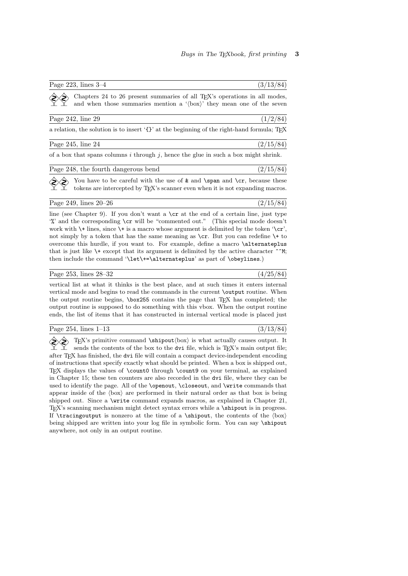Chapters 24 to 26 present summaries of all TEX's operations in all modes, and when those summaries mention a ' $\langle$ box $\rangle$ ' they mean one of the seven Page 242, line 29 (1/2/84) a relation, the solution is to insert '{}' at the beginning of the right-hand formula; TEX

| Page $245$ , line $24$ | (2/15/84) |
|------------------------|-----------|
|------------------------|-----------|

of a box that spans columns  $i$  through  $j$ , hence the glue in such a box might shrink.

| Page 248, the fourth dangerous bend | (2/15/84) |
|-------------------------------------|-----------|
|-------------------------------------|-----------|

You have to be careful with the use of  $\&$  and  $\sgn$  and  $\cr$ , because these tokens are intercepted by TEX's scanner even when it is not expanding macros.

Page 249, lines  $20-26$  (2/15/84)

line (see Chapter 9). If you don't want a  $\csc$  at the end of a certain line, just type '%' and the corresponding \cr will be "commented out." (This special mode doesn't work with  $\setminus\uparrow$  lines, since  $\setminus\uparrow$  is a macro whose argument is delimited by the token  $\setminus\subset\subset\uparrow$ , not simply by a token that has the same meaning as  $\csc$ . But you can redefine  $\rightarrow$  to overcome this hurdle, if you want to. For example, define a macro \alternateplus that is just like  $\rightarrow$  except that its argument is delimited by the active character  $\sim$ M; then include the command '\let\+=\alternateplus' as part of \obeylines.)

## Page 253, lines  $28-32$  (4/25/84)

vertical list at what it thinks is the best place, and at such times it enters internal vertical mode and begins to read the commands in the current \output routine. When the output routine begins, \box255 contains the page that TEX has completed; the output routine is supposed to do something with this vbox. When the output routine ends, the list of items that it has constructed in internal vertical mode is placed just

| Page $254$ , lines $1-13$ |
|---------------------------|
|---------------------------|

 $(3/13/84)$ 

T<sub>E</sub>X's primitive command  $\binom{\boxtimes}{\boxtimes}$  is what actually causes output. It sends the contents of the box to the dvi file, which is TFX's main output file; after TEX has finished, the dvi file will contain a compact device-independent encoding of instructions that specify exactly what should be printed. When a box is shipped out, TEX displays the values of \count0 through \count9 on your terminal, as explained in Chapter 15; these ten counters are also recorded in the dvi file, where they can be used to identify the page. All of the \openout, \closeout, and \write commands that appear inside of the  $\langle$ box $\rangle$  are performed in their natural order as that box is being shipped out. Since a \write command expands macros, as explained in Chapter 21, TEX's scanning mechanism might detect syntax errors while a \shipout is in progress. If  $\triangle$ racingoutput is nonzero at the time of a  $\shipout$ , the contents of the  $\boxtimes$ being shipped are written into your log file in symbolic form. You can say \shipout anywhere, not only in an output routine.

Page 223, lines  $3-4$  (3/13/84)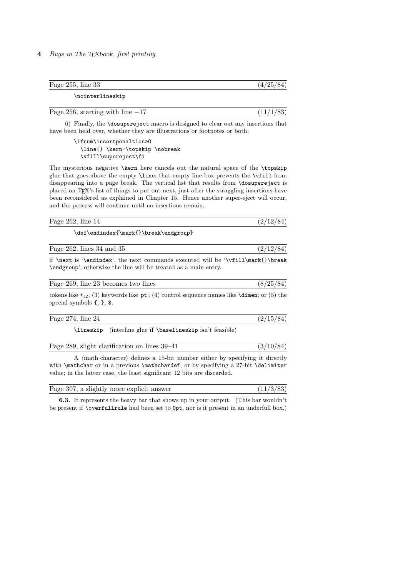## 4 Bugs in The TEXbook, first printing

| Page $255$ , line $33$ | (4/25/84) |
|------------------------|-----------|
| \nointerlineskip       |           |
|                        |           |

6) Finally, the \dosupereject macro is designed to clear out any insertions that have been held over, whether they are illustrations or footnotes or both:

Page 256, starting with line  $-17$  (11/1/83)

\ifnum\insertpenalties>0 \line{} \kern-\topskip \nobreak \vfill\supereject\fi

The mysterious negative \kern here cancels out the natural space of the \topskip glue that goes above the empty \line; that empty line box prevents the \vfill from disappearing into a page break. The vertical list that results from \dosupereject is placed on TEX's list of things to put out next, just after the straggling insertions have been reconsidered as explained in Chapter 15. Hence another super-eject will occur, and the process will continue until no insertions remain.

| Page $262$ , line $14$ | -- |
|------------------------|----|
|                        |    |

\def\endindex{\mark{}\break\endgroup}

| Page $262$ , lines $34$ and $35$ |  |
|----------------------------------|--|
|                                  |  |

if \next is '\endindex', the next commands executed will be '\vfill\mark{}\break \endgroup'; otherwise the line will be treated as a main entry.

| Page 269, line 23 becomes two lines                                                              | (8/25/84) |
|--------------------------------------------------------------------------------------------------|-----------|
| tokens like $+_{12}$ ; (3) keywords like pt; (4) control sequence names like $\dim$ ; or (5) the |           |

special symbols {, }, \$.

\lineskip (interline glue if \baselineskip isn't feasible)

|  | Page 289, slight clarification on lines 39–41 | (3/10/84) |
|--|-----------------------------------------------|-----------|
|  |                                               |           |

A  $\langle$  math character $\rangle$  defines a 15-bit number either by specifying it directly with \mathchar or in a previous \mathchardef, or by specifying a 27-bit \delimiter value; in the latter case, the least significant 12 bits are discarded.

| Page 307, a slightly more explicit answer | (11/3/83) |
|-------------------------------------------|-----------|
|-------------------------------------------|-----------|

6.3. It represents the heavy bar that shows up in your output. (This bar wouldn't be present if \overfullrule had been set to 0pt, nor is it present in an underfull box.)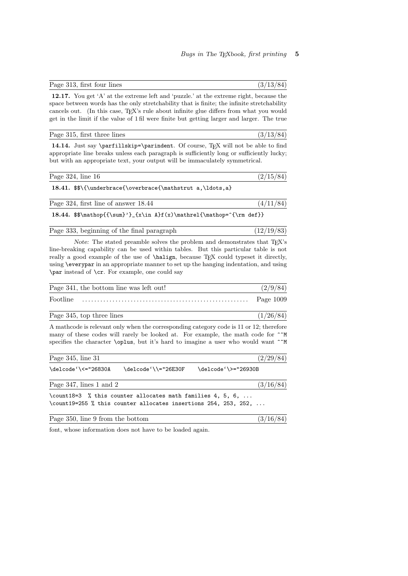12.17. You get 'A' at the extreme left and 'puzzle.' at the extreme right, because the space between words has the only stretchability that is finite; the infinite stretchability cancels out. (In this case, TEX's rule about infinite glue differs from what you would get in the limit if the value of 1 fil were finite but getting larger and larger. The true

Page 313, first four lines (3/13/84)

|  |  | Page 315, first three lines | (3/13/84) |  |  |  |
|--|--|-----------------------------|-----------|--|--|--|
|--|--|-----------------------------|-----------|--|--|--|

14.14. Just say \parfillskip=\parindent. Of course, TEX will not be able to find appropriate line breaks unless each paragraph is sufficiently long or sufficiently lucky; but with an appropriate text, your output will be immaculately symmetrical.

Page 324, line 16 (2/15/84)

18.41. \$\$\{\underbrace{\overbrace{\mathstrut a,\ldots,a}

| Page 324, first line of answer 18.44 |  |  |  |  |
|--------------------------------------|--|--|--|--|
|                                      |  |  |  |  |

18.44.  $*\mathbb{}{\sum}' {\in A}{f(x)\mathcal{h}rel{\mathcalp}=\{\rm def}\}$ 

| Page 333, beginning of the final paragraph |  |  | (12/19/83) |  |  |
|--------------------------------------------|--|--|------------|--|--|
|--------------------------------------------|--|--|------------|--|--|

Note: The stated preamble solves the problem and demonstrates that TFX's line-breaking capability can be used within tables. But this particular table is not really a good example of the use of **\halign**, because T<sub>E</sub>X could typeset it directly, using \everypar in an appropriate manner to set up the hanging indentation, and using \par instead of \cr. For example, one could say

| Page 341, the bottom line was left out! | (2/9/84)    |
|-----------------------------------------|-------------|
| Footline                                | Page $1009$ |

Page 345, top three lines  $(1/26/84)$ 

A mathcode is relevant only when the corresponding category code is 11 or 12; therefore many of these codes will rarely be looked at. For example, the math code for  $\hat{ }$ specifies the character **\oplus**, but it's hard to imagine a user who would want  $\hat{\ }$ M

| Page 345, line 31                |                                                                                                                                         |                     | (2/29/84) |
|----------------------------------|-----------------------------------------------------------------------------------------------------------------------------------------|---------------------|-----------|
| \delcode'\<="26830A              | \delcode'\\="26E30F                                                                                                                     | \delcode'\>="26930B |           |
| Page 347, lines 1 and 2          |                                                                                                                                         |                     | (3/16/84) |
|                                  | \count18=3 $%$ this counter allocates math families 4, 5, 6,<br>\count19=255 % this counter allocates insertions 254, 253, 252, $\dots$ |                     |           |
| Page 350, line 9 from the bottom |                                                                                                                                         |                     | (3/16/84) |

font, whose information does not have to be loaded again.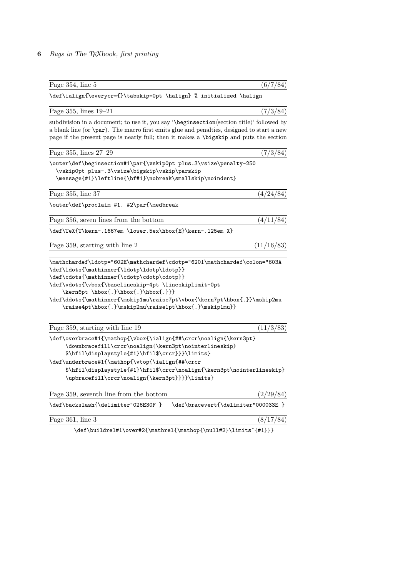## 6 Bugs in The TEXbook, first printing

| Page 354, line 5                                                                                                                                                                                                                                                                                                                                                                                           | (6/7/84)   |
|------------------------------------------------------------------------------------------------------------------------------------------------------------------------------------------------------------------------------------------------------------------------------------------------------------------------------------------------------------------------------------------------------------|------------|
| \def\ialign{\everycr={}\tabskip=0pt \halign} % initialized \halign                                                                                                                                                                                                                                                                                                                                         |            |
| Page 355, lines 19–21                                                                                                                                                                                                                                                                                                                                                                                      | (7/3/84)   |
| subdivision in a document; to use it, you say '\beginsection(section title)' followed by<br>a blank line (or \par). The macro first emits glue and penalties, designed to start a new<br>page if the present page is nearly full; then it makes a \bigskip and puts the section                                                                                                                            |            |
| Page 355, lines 27-29                                                                                                                                                                                                                                                                                                                                                                                      | (7/3/84)   |
| \outer\def\beginsection#1\par{\vskip0pt plus.3\vsize\penalty-250<br>\vskip0pt plus-.3\vsize\bigskip\vskip\parskip<br>\message{#1}\leftline{\bf#1}\nobreak\smallskip\noindent}                                                                                                                                                                                                                              |            |
| Page 355, line 37                                                                                                                                                                                                                                                                                                                                                                                          | (4/24/84)  |
| \outer\def\proclaim #1. #2\par{\medbreak                                                                                                                                                                                                                                                                                                                                                                   |            |
| Page 356, seven lines from the bottom                                                                                                                                                                                                                                                                                                                                                                      | (4/11/84)  |
| \def\TeX{T\kern-.1667em \lower.5ex\hbox{E}\kern-.125em X}                                                                                                                                                                                                                                                                                                                                                  |            |
| Page 359, starting with line 2                                                                                                                                                                                                                                                                                                                                                                             | (11/16/83) |
| \mathchardef\ldotp="602E\mathchardef\cdotp="6201\mathchardef\colon="603A<br>\def\ldots{\mathinner{\ldotp\ldotp\ldotp}}<br>\def\cdots{\mathinner{\cdotp\cdotp\cdotp}}<br>\def\vdots{\vbox{\baselineskip=4pt \lineskiplimit=0pt<br>\kern6pt \hbox{.}\hbox{.}\hbox{.}}}<br>\def\ddots{\mathinner{\mskip1mu\raise7pt\vbox{\kern7pt\hbox{.}}\mskip2mu<br>\raise4pt\hbox{.}\mskip2mu\raise1pt\hbox{.}\mskip1mu}} |            |
| Page 359, starting with line 19                                                                                                                                                                                                                                                                                                                                                                            | (11/3/83)  |
| \def\overbrace#1{\mathop{\vbox{\ialign{##\crcr\noalign{\kern3pt}<br>\downbracefill\crcr\noalign{\kern3pt\nointerlineskip}<br>\$\hfil\displaystyle{#1}\hfil\$\crcr}}}\limits}<br>\def\underbrace#1{\mathop{\vtop{\ialign{##\crcr<br>\$\hfil\displaystyle{#1}\hfil\$\crcr\noalign{\kern3pt\nointerlineskip}<br>\upbracefill\crcr\noalign{\kern3pt}}}}\limits}                                                |            |
| Page 359, seventh line from the bottom                                                                                                                                                                                                                                                                                                                                                                     | (2/29/84)  |
| \def\backslash{\delimiter"026E30F }<br>\def\bracevert{\delimiter"000033E }                                                                                                                                                                                                                                                                                                                                 |            |
| Page $361$ , line $3$                                                                                                                                                                                                                                                                                                                                                                                      | (8/17/84)  |
| \def\buildrel#1\over#2{\mathrel{\mathop{\null#2}\limits^{#1}}}                                                                                                                                                                                                                                                                                                                                             |            |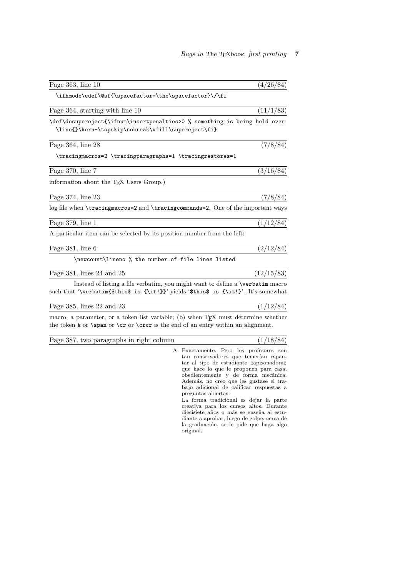| Page $363$ , line $10$                                                                                                                                                        | (4/26/84)  |
|-------------------------------------------------------------------------------------------------------------------------------------------------------------------------------|------------|
| \ifhmode\edef\@sf{\spacefactor=\the\spacefactor}\/\fi                                                                                                                         |            |
| Page 364, starting with line 10                                                                                                                                               | (11/1/83)  |
| \def\dosupereject{\ifnum\insertpenalties>0 % something is being held over<br>\line{}\kern-\topskip\nobreak\vfill\supereject\fi}                                               |            |
| Page $364$ , line $28$                                                                                                                                                        | (7/8/84)   |
| \tracingmacros=2 \tracingparagraphs=1 \tracingrestores=1                                                                                                                      |            |
| Page 370, line 7                                                                                                                                                              | (3/16/84)  |
| information about the T <sub>F</sub> X Users Group.)                                                                                                                          |            |
| Page 374, line 23                                                                                                                                                             | (7/8/84)   |
| log file when <b>\tracingmacros=2</b> and <b>\tracingcommands=2</b> . One of the important ways                                                                               |            |
| Page 379, line 1                                                                                                                                                              | (1/12/84)  |
| A particular item can be selected by its position number from the left:                                                                                                       |            |
| Page $381$ , line $6$                                                                                                                                                         | (2/12/84)  |
| \newcount\lineno % the number of file lines listed                                                                                                                            |            |
| Page $381$ , lines 24 and $25$                                                                                                                                                | (12/15/83) |
| Instead of listing a file verbatim, you might want to define a <b>\verbatim</b> macro<br>such that '\verbatim{\$this\$ is {\it!}}' yields '\$this\$ is {\it!}'. It's somewhat |            |
| Page $385$ , lines $22$ and $23$                                                                                                                                              | (1/12/84)  |
| macro, a parameter, or a token list variable; (b) when T <sub>F</sub> X must determine whether                                                                                |            |

the token  $\&$  or  $\er$  or  $\cer$  or  $\cer$  is the end of an entry within an alignment.

Page 387, two paragraphs in right column (1/18/84)

A. Exactamente. Pero los profesores son tan conservadores que temerían espantar al tipo de estudiante «apisonadora» que hace lo que le proponen para casa, obedientemente y de forma mecánica. Además, no creo que les gustase el trabajo adicional de calificar respuestas a preguntas abiertas.

La forma tradicional es dejar la parte creativa para los cursos altos. Durante diecisiete años o más se enseña al estudiante a aprobar, luego de golpe, cerca de la graduación, se le pide que haga algo original.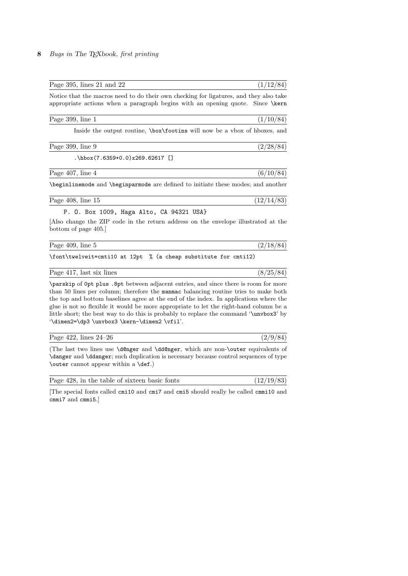| Page 395, lines $21$ and $22$                                                                                                                                                                                                                                                                                                                                    | (1/12/84)  |
|------------------------------------------------------------------------------------------------------------------------------------------------------------------------------------------------------------------------------------------------------------------------------------------------------------------------------------------------------------------|------------|
| Notice that the macros need to do their own checking for ligatures, and they also take<br>appropriate actions when a paragraph begins with an opening quote. Since \kern                                                                                                                                                                                         |            |
| Page 399, line 1                                                                                                                                                                                                                                                                                                                                                 | (1/10/84)  |
| Inside the output routine, \box\footins will now be a vbox of hboxes, and                                                                                                                                                                                                                                                                                        |            |
| Page 399, line 9                                                                                                                                                                                                                                                                                                                                                 | (2/28/84)  |
| $\hbox{hbox(7.6359+0.0)x269.62617}$                                                                                                                                                                                                                                                                                                                              |            |
| Page 407, line 4                                                                                                                                                                                                                                                                                                                                                 | (6/10/84)  |
| \beginlinemode and \beginparmode are defined to initiate these modes; and another                                                                                                                                                                                                                                                                                |            |
| Page $408$ , line $15$                                                                                                                                                                                                                                                                                                                                           | (12/14/83) |
| P. O. Box 1009, Haga Alto, CA 94321 USA}                                                                                                                                                                                                                                                                                                                         |            |
| Also change the ZIP code in the return address on the envelope illustrated at the<br>bottom of page 405.                                                                                                                                                                                                                                                         |            |
| Page 409, line 5                                                                                                                                                                                                                                                                                                                                                 | (2/18/84)  |
| \font\twelveit=cmti10 at 12pt % (a cheap substitute for cmti12)                                                                                                                                                                                                                                                                                                  |            |
| Page 417, last six lines                                                                                                                                                                                                                                                                                                                                         | (8/25/84)  |
| \parskip of Opt plus .8pt between adjacent entries, and since there is room for more<br>than 50 lines per column; therefore the manimate balancing routine tries to make both<br>the top and bottom baselines agree at the end of the index. In applications where the<br>glue is not so flexible it would be more appropriate to let the right-hand column be a |            |

glue is not so flexible it would be more appropriate to let the right-hand column be a little short; the best way to do this is probably to replace the command '\unvbox3' by '\dimen2=\dp3 \unvbox3 \kern-\dimen2 \vfil'.

| Page 422, lines 24-26 |  |
|-----------------------|--|
|                       |  |

(The last two lines use \d@nger and \dd@nger, which are non-\outer equivalents of \danger and \ddanger; such duplication is necessary because control sequences of type \outer cannot appear within a \def.)

|  | Page 428, in the table of sixteen basic fonts | (12/19/83) |
|--|-----------------------------------------------|------------|
|  |                                               |            |

[The special fonts called cmi10 and cmi7 and cmi5 should really be called cmmi10 and cmmi7 and cmmi5.]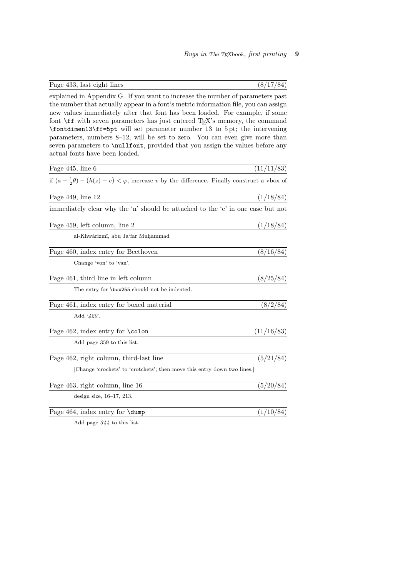| \fontdimen13\ff=5pt will set parameter number 13 to 5pt; the intervening                                        |            |
|-----------------------------------------------------------------------------------------------------------------|------------|
| parameters, numbers $8-12$ , will be set to zero. You can even give more than                                   |            |
| seven parameters to \nullfont, provided that you assign the values before any                                   |            |
| actual fonts have been loaded.                                                                                  |            |
| Page $445$ , line $6$                                                                                           | (11/11/83) |
| if $(a - \frac{1}{2}\theta) - (h(z) - v) < \varphi$ , increase v by the difference. Finally construct a vbox of |            |
| Page $449$ , line $12$                                                                                          | (1/18/84)  |
| immediately clear why the 'n' should be attached to the 'e' in one case but not                                 |            |
| Page 459, left column, line 2                                                                                   | (1/18/84)  |
| al-Khwârizmî, abu Ja'far Muhammad                                                                               |            |
| Page 460, index entry for Beethoven                                                                             | (8/16/84)  |
| Change 'von' to 'van'.                                                                                          |            |
| Page 461, third line in left column                                                                             | (8/25/84)  |
| The entry for \box255 should not be indented.                                                                   |            |
| Page 461, index entry for boxed material                                                                        | (8/2/84)   |
| Add ' $420$ '.                                                                                                  |            |
| Page $462$ , index entry for $\cdot$ colon                                                                      | (11/16/83) |
| Add page 359 to this list.                                                                                      |            |
| Page 462, right column, third-last line                                                                         | (5/21/84)  |
| [Change 'crochets' to 'crotchets'; then move this entry down two lines.]                                        |            |
| Page 463, right column, line 16                                                                                 | (5/20/84)  |
| design size, $16-17$ , $213$ .                                                                                  |            |
| Page 464, index entry for <b>\dump</b>                                                                          | (1/10/84)  |
| Add page $344$ to this list.                                                                                    |            |

explained in Appendix G. If you want to increase the number of parameters past the number that actually appear in a font's metric information file, you can assign new values immediately after that font has been loaded. For example, if some font  $\frown f$  with seven parameters has just entered T<sub>E</sub>X's memory, the command

Page 433, last eight lines (8/17/84)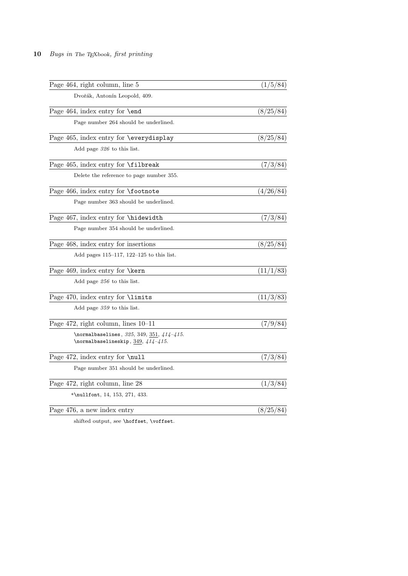| Page 464, right column, line 5                                                              | (1/5/84)  |
|---------------------------------------------------------------------------------------------|-----------|
| Dvořák, Antonín Leopold, 409.                                                               |           |
| Page 464, index entry for $\end{math}$                                                      | (8/25/84) |
| Page number 264 should be underlined.                                                       |           |
| Page 465, index entry for \everydisplay                                                     | (8/25/84) |
| Add page $326$ to this list.                                                                |           |
| Page 465, index entry for <b>\filbreak</b>                                                  | (7/3/84)  |
| Delete the reference to page number 355.                                                    |           |
| Page 466, index entry for <b>\footnote</b>                                                  | (4/26/84) |
| Page number 363 should be underlined.                                                       |           |
| Page 467, index entry for \hidewidth                                                        | (7/3/84)  |
| Page number 354 should be underlined.                                                       |           |
| Page 468, index entry for insertions                                                        | (8/25/84) |
| Add pages $115-117$ , $122-125$ to this list.                                               |           |
| Page 469, index entry for \kern                                                             | (11/1/83) |
| Add page $256$ to this list.                                                                |           |
| Page 470, index entry for <i>\limits</i>                                                    | (11/3/83) |
| Add page 359 to this list.                                                                  |           |
| Page $472$ , right column, lines $10-11$                                                    | (7/9/84)  |
| \normalbaselines, $325, 349, 351, 414-415$ .<br>$\verb \normal{baselineskip, 349, 414-415.$ |           |
| Page 472, index entry for \null                                                             | (7/3/84)  |
| Page number 351 should be underlined.                                                       |           |
| Page 472, right column, line 28                                                             | (1/3/84)  |
| *\nullfont, 14, 153, 271, 433.                                                              |           |
| Page 476, a new index entry                                                                 | (8/25/84) |
|                                                                                             |           |

shifted output, see **\hoffset**, **\voffset**.